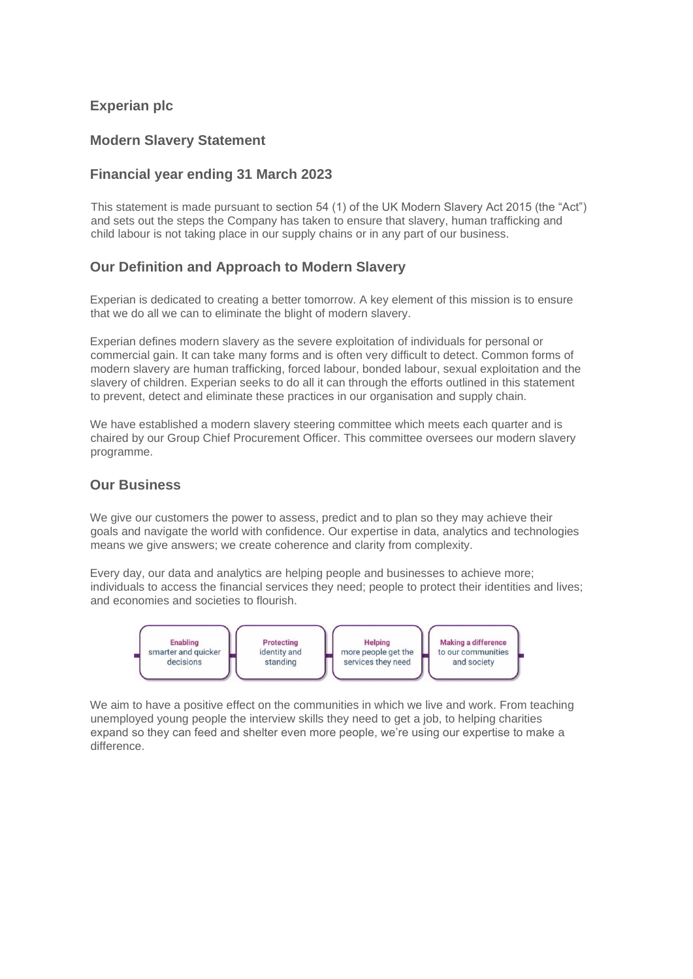## **Experian plc**

### **Modern Slavery Statement**

### **Financial year ending 31 March 2023**

This statement is made pursuant to section 54 (1) of the UK Modern Slavery Act 2015 (the "Act") and sets out the steps the Company has taken to ensure that slavery, human trafficking and child labour is not taking place in our supply chains or in any part of our business.

## **Our Definition and Approach to Modern Slavery**

Experian is dedicated to creating a better tomorrow. A key element of this mission is to ensure that we do all we can to eliminate the blight of modern slavery.

Experian defines modern slavery as the severe exploitation of individuals for personal or commercial gain. It can take many forms and is often very difficult to detect. Common forms of modern slavery are human trafficking, forced labour, bonded labour, sexual exploitation and the slavery of children. Experian seeks to do all it can through the efforts outlined in this statement to prevent, detect and eliminate these practices in our organisation and supply chain.

We have established a modern slavery steering committee which meets each quarter and is chaired by our Group Chief Procurement Officer. This committee oversees our modern slavery programme.

#### **Our Business**

We give our customers the power to assess, predict and to plan so they may achieve their goals and navigate the world with confidence. Our expertise in data, analytics and technologies means we give answers; we create coherence and clarity from complexity.

Every day, our data and analytics are helping people and businesses to achieve more; individuals to access the financial services they need; people to protect their identities and lives; and economies and societies to flourish.



We aim to have a positive effect on the communities in which we live and work. From teaching unemployed young people the interview skills they need to get a job, to helping charities expand so they can feed and shelter even more people, we're using our expertise to make a difference.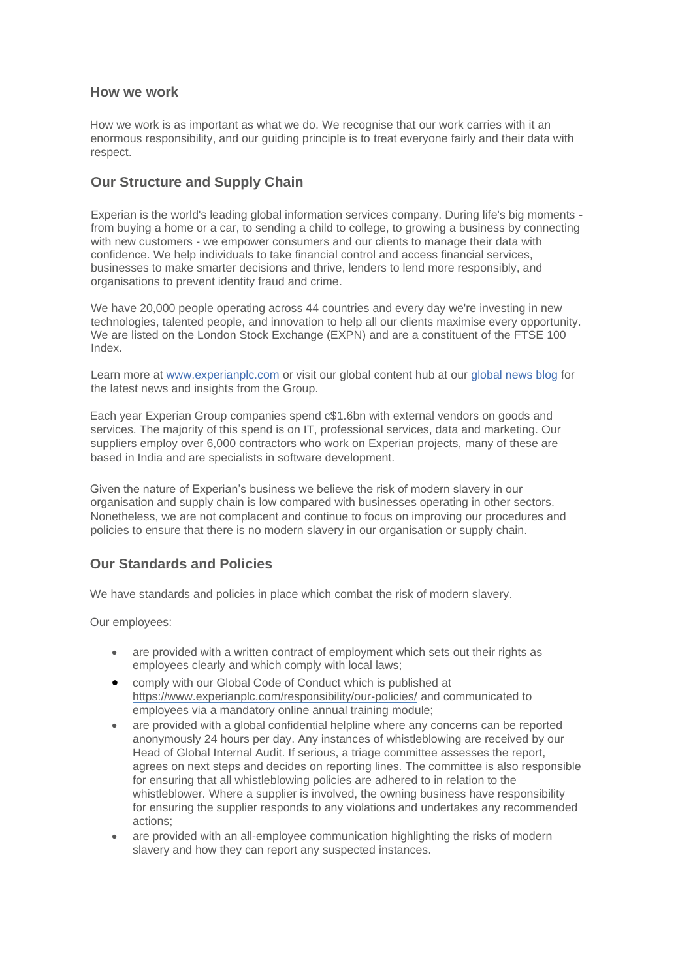### **How we work**

How we work is as important as what we do. We recognise that our work carries with it an enormous responsibility, and our guiding principle is to treat everyone fairly and their data with respect.

# **Our Structure and Supply Chain**

Experian is the world's leading global information services company. During life's big moments from buying a home or a car, to sending a child to college, to growing a business by connecting with new customers - we empower consumers and our clients to manage their data with confidence. We help individuals to take financial control and access financial services, businesses to make smarter decisions and thrive, lenders to lend more responsibly, and organisations to prevent identity fraud and crime.

We have 20,000 people operating across 44 countries and every day we're investing in new technologies, talented people, and innovation to help all our clients maximise every opportunity. We are listed on the London Stock Exchange (EXPN) and are a constituent of the FTSE 100 Index.

Learn more at [www.experianplc.com](http://www.experianplc.com/) or visit our global content hub at our [global news blog](http://www.experian.com/blogs/news) for the latest news and insights from the Group.

Each year Experian Group companies spend c\$1.6bn with external vendors on goods and services. The majority of this spend is on IT, professional services, data and marketing. Our suppliers employ over 6,000 contractors who work on Experian projects, many of these are based in India and are specialists in software development.

Given the nature of Experian's business we believe the risk of modern slavery in our organisation and supply chain is low compared with businesses operating in other sectors. Nonetheless, we are not complacent and continue to focus on improving our procedures and policies to ensure that there is no modern slavery in our organisation or supply chain.

# **Our Standards and Policies**

We have standards and policies in place which combat the risk of modern slavery.

Our employees:

- are provided with a written contract of employment which sets out their rights as employees clearly and which comply with local laws;
- comply with our Global Code of Conduct which is published at <https://www.experianplc.com/responsibility/our-policies/> and communicated to employees via a mandatory online annual training module;
- are provided with a global confidential helpline where any concerns can be reported anonymously 24 hours per day. Any instances of whistleblowing are received by our Head of Global Internal Audit. If serious, a triage committee assesses the report, agrees on next steps and decides on reporting lines. The committee is also responsible for ensuring that all whistleblowing policies are adhered to in relation to the whistleblower. Where a supplier is involved, the owning business have responsibility for ensuring the supplier responds to any violations and undertakes any recommended actions;
- are provided with an all-employee communication highlighting the risks of modern slavery and how they can report any suspected instances.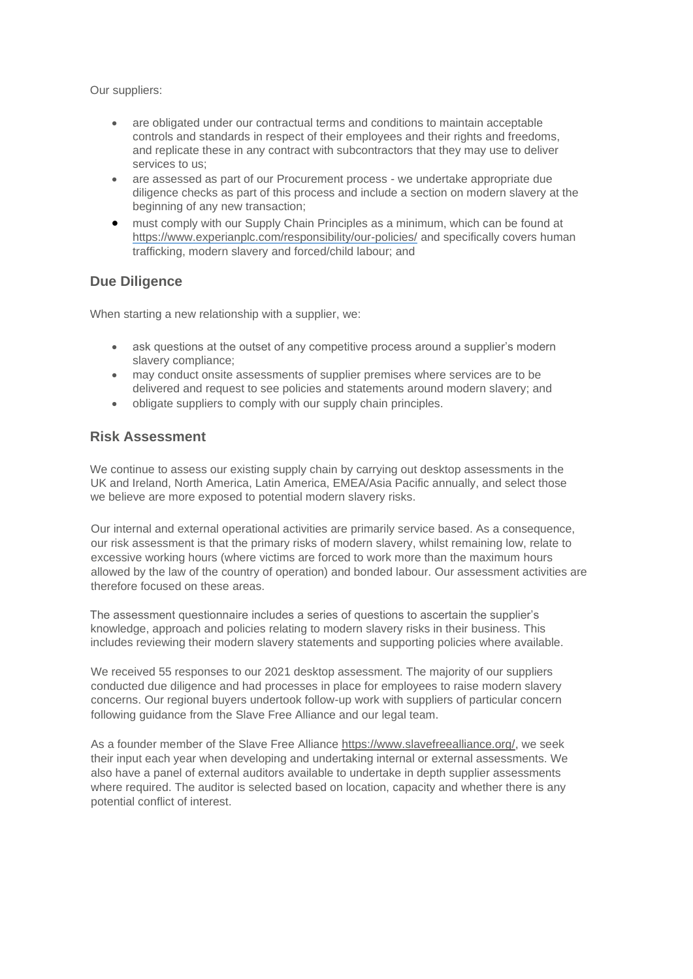Our suppliers:

- are obligated under our contractual terms and conditions to maintain acceptable controls and standards in respect of their employees and their rights and freedoms, and replicate these in any contract with subcontractors that they may use to deliver services to us;
- are assessed as part of our Procurement process we undertake appropriate due diligence checks as part of this process and include a section on modern slavery at the beginning of any new transaction;
- must comply with our Supply Chain Principles as a minimum, which can be found at <https://www.experianplc.com/responsibility/our-policies/> and specifically covers human trafficking, modern slavery and forced/child labour; and

### **Due Diligence**

When starting a new relationship with a supplier, we:

- ask questions at the outset of any competitive process around a supplier's modern slavery compliance;
- may conduct onsite assessments of supplier premises where services are to be delivered and request to see policies and statements around modern slavery; and
- obligate suppliers to comply with our supply chain principles.

#### **Risk Assessment**

We continue to assess our existing supply chain by carrying out desktop assessments in the UK and Ireland, North America, Latin America, EMEA/Asia Pacific annually, and select those we believe are more exposed to potential modern slavery risks.

Our internal and external operational activities are primarily service based. As a consequence, our risk assessment is that the primary risks of modern slavery, whilst remaining low, relate to excessive working hours (where victims are forced to work more than the maximum hours allowed by the law of the country of operation) and bonded labour. Our assessment activities are therefore focused on these areas.

The assessment questionnaire includes a series of questions to ascertain the supplier's knowledge, approach and policies relating to modern slavery risks in their business. This includes reviewing their modern slavery statements and supporting policies where available.

We received 55 responses to our 2021 desktop assessment. The majority of our suppliers conducted due diligence and had processes in place for employees to raise modern slavery concerns. Our regional buyers undertook follow-up work with suppliers of particular concern following guidance from the Slave Free Alliance and our legal team.

As a founder member of the Slave Free Alliance [https://www.slavefreealliance.org/,](https://www.slavefreealliance.org/) we seek their input each year when developing and undertaking internal or external assessments. We also have a panel of external auditors available to undertake in depth supplier assessments where required. The auditor is selected based on location, capacity and whether there is any potential conflict of interest.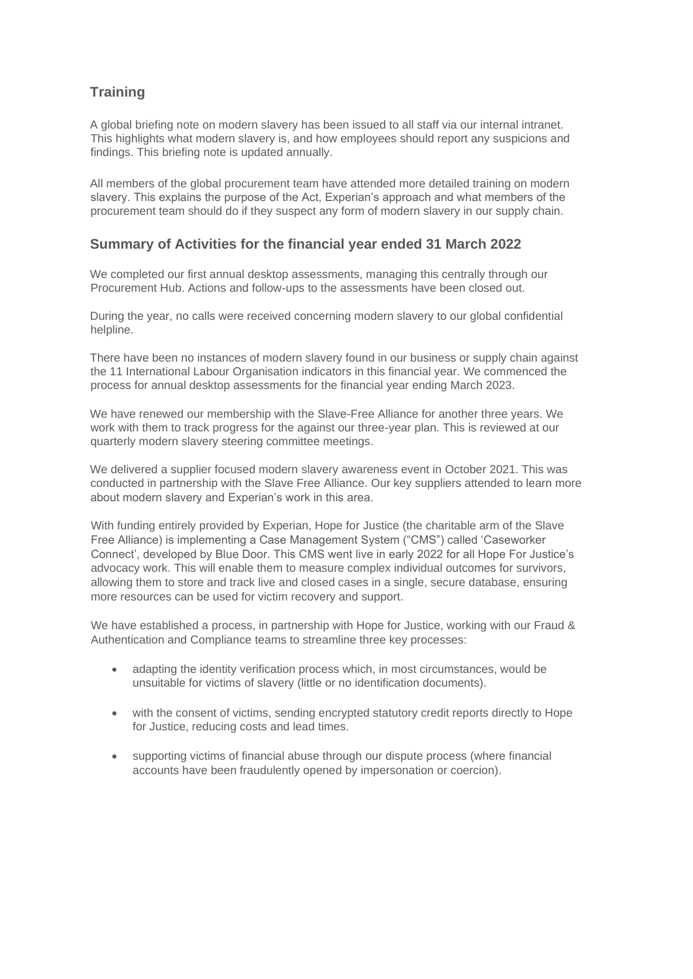# **Training**

A global briefing note on modern slavery has been issued to all staff via our internal intranet. This highlights what modern slavery is, and how employees should report any suspicions and findings. This briefing note is updated annually.

All members of the global procurement team have attended more detailed training on modern slavery. This explains the purpose of the Act, Experian's approach and what members of the procurement team should do if they suspect any form of modern slavery in our supply chain.

## **Summary of Activities for the financial year ended 31 March 2022**

We completed our first annual desktop assessments, managing this centrally through our Procurement Hub. Actions and follow-ups to the assessments have been closed out.

During the year, no calls were received concerning modern slavery to our global confidential helpline.

There have been no instances of modern slavery found in our business or supply chain against the 11 International Labour Organisation indicators in this financial year. We commenced the process for annual desktop assessments for the financial year ending March 2023.

We have renewed our membership with the Slave-Free Alliance for another three years. We work with them to track progress for the against our three-year plan. This is reviewed at our quarterly modern slavery steering committee meetings.

We delivered a supplier focused modern slavery awareness event in October 2021. This was conducted in partnership with the Slave Free Alliance. Our key suppliers attended to learn more about modern slavery and Experian's work in this area.

With funding entirely provided by Experian, Hope for Justice (the charitable arm of the Slave Free Alliance) is implementing a Case Management System ("CMS") called 'Caseworker Connect', developed by Blue Door. This CMS went live in early 2022 for all Hope For Justice's advocacy work. This will enable them to measure complex individual outcomes for survivors, allowing them to store and track live and closed cases in a single, secure database, ensuring more resources can be used for victim recovery and support.

We have established a process, in partnership with Hope for Justice, working with our Fraud & Authentication and Compliance teams to streamline three key processes:

- adapting the identity verification process which, in most circumstances, would be unsuitable for victims of slavery (little or no identification documents).
- with the consent of victims, sending encrypted statutory credit reports directly to Hope for Justice, reducing costs and lead times.
- supporting victims of financial abuse through our dispute process (where financial accounts have been fraudulently opened by impersonation or coercion).